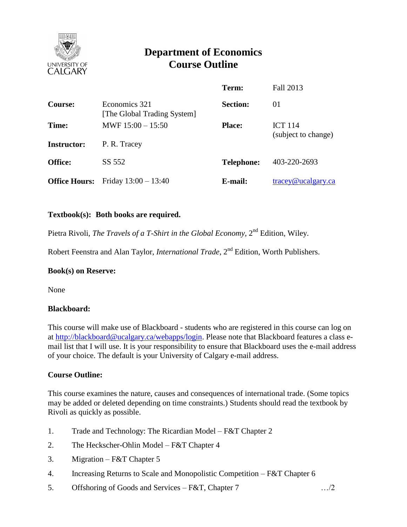

# **Department of Economics Course Outline**

|                      |                                              | Term:             | Fall 2013           |
|----------------------|----------------------------------------------|-------------------|---------------------|
| <b>Course:</b>       | Economics 321<br>[The Global Trading System] | <b>Section:</b>   | 01                  |
| Time:                | MWF $15:00 - 15:50$                          | <b>Place:</b>     | <b>ICT 114</b>      |
| <b>Instructor:</b>   | P. R. Tracey                                 |                   | (subject to change) |
| <b>Office:</b>       | SS 552                                       | <b>Telephone:</b> | 403-220-2693        |
| <b>Office Hours:</b> | Friday $13:00 - 13:40$                       | E-mail:           | tracey@ucalgary.ca  |

## **Textbook(s): Both books are required.**

Pietra Rivoli, *The Travels of a T-Shirt in the Global Economy*, 2<sup>nd</sup> Edition, Wiley.

Robert Feenstra and Alan Taylor, *International Trade*, 2<sup>nd</sup> Edition, Worth Publishers.

#### **Book(s) on Reserve:**

None

#### **Blackboard:**

This course will make use of Blackboard - students who are registered in this course can log on at [http://blackboard@ucalgary.ca/webapps/login.](http://blackboard@ucalgary.ca/webapps/login) Please note that Blackboard features a class email list that I will use. It is your responsibility to ensure that Blackboard uses the e-mail address of your choice. The default is your University of Calgary e-mail address.

#### **Course Outline:**

This course examines the nature, causes and consequences of international trade. (Some topics may be added or deleted depending on time constraints.) Students should read the textbook by Rivoli as quickly as possible.

- 1. Trade and Technology: The Ricardian Model F&T Chapter 2
- 2. The Heckscher-Ohlin Model F&T Chapter 4
- 3. Migration F&T Chapter 5
- 4. Increasing Returns to Scale and Monopolistic Competition F&T Chapter 6
- 5. Offshoring of Goods and Services F&T, Chapter 7 …/2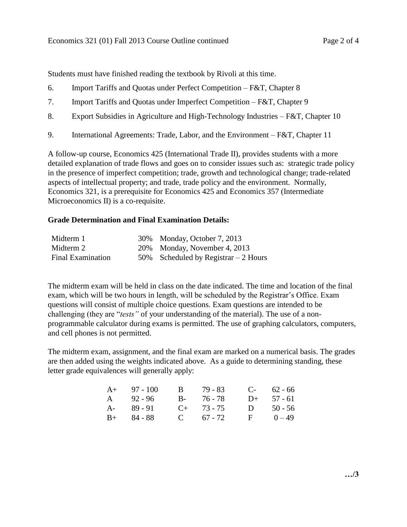- 6. Import Tariffs and Quotas under Perfect Competition F&T, Chapter 8
- 7. Import Tariffs and Quotas under Imperfect Competition F&T, Chapter 9
- 8. Export Subsidies in Agriculture and High-Technology Industries F&T, Chapter 10
- 9. International Agreements: Trade, Labor, and the Environment F&T, Chapter 11

A follow-up course, Economics 425 (International Trade II), provides students with a more detailed explanation of trade flows and goes on to consider issues such as: strategic trade policy in the presence of imperfect competition; trade, growth and technological change; trade-related aspects of intellectual property; and trade, trade policy and the environment. Normally, Economics 321, is a prerequisite for Economics 425 and Economics 357 (Intermediate Microeconomics II) is a co-requisite.

## **Grade Determination and Final Examination Details:**

| Midterm 1                | 30% Monday, October 7, 2013           |
|--------------------------|---------------------------------------|
| Midterm 2                | 20% Monday, November 4, 2013          |
| <b>Final Examination</b> | 50% Scheduled by Registrar $-2$ Hours |

The midterm exam will be held in class on the date indicated. The time and location of the final exam, which will be two hours in length, will be scheduled by the Registrar's Office. Exam questions will consist of multiple choice questions. Exam questions are intended to be challenging (they are "*tests"* of your understanding of the material). The use of a nonprogrammable calculator during exams is permitted. The use of graphing calculators, computers, and cell phones is not permitted.

The midterm exam, assignment, and the final exam are marked on a numerical basis. The grades are then added using the weights indicated above. As a guide to determining standing, these letter grade equivalences will generally apply:

| $A+ 97-100$   | B 79 - 83       | $C-$ 62 - 66 |
|---------------|-----------------|--------------|
| A 92 - 96     | B- 76-78        | $D+ 57 - 61$ |
| $A - 89 - 91$ | $C_{+}$ 73 - 75 | D $50 - 56$  |
| $B+ 84 - 88$  | C $67 - 72$     | $F = 0 - 49$ |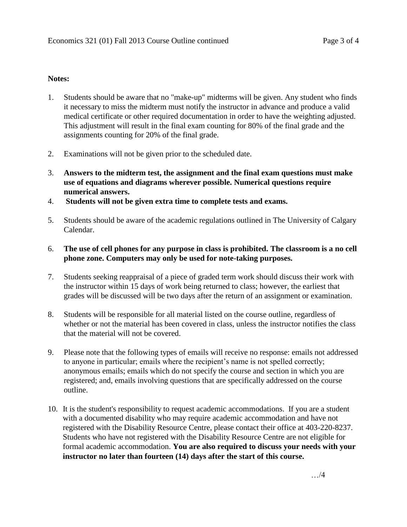#### **Notes:**

- 1. Students should be aware that no "make-up" midterms will be given. Any student who finds it necessary to miss the midterm must notify the instructor in advance and produce a valid medical certificate or other required documentation in order to have the weighting adjusted. This adjustment will result in the final exam counting for 80% of the final grade and the assignments counting for 20% of the final grade.
- 2. Examinations will not be given prior to the scheduled date.
- 3. **Answers to the midterm test, the assignment and the final exam questions must make use of equations and diagrams wherever possible. Numerical questions require numerical answers.**
- 4. **Students will not be given extra time to complete tests and exams.**
- 5. Students should be aware of the academic regulations outlined in The University of Calgary Calendar.

## 6. **The use of cell phones for any purpose in class is prohibited. The classroom is a no cell phone zone. Computers may only be used for note-taking purposes.**

- 7. Students seeking reappraisal of a piece of graded term work should discuss their work with the instructor within 15 days of work being returned to class; however, the earliest that grades will be discussed will be two days after the return of an assignment or examination.
- 8. Students will be responsible for all material listed on the course outline, regardless of whether or not the material has been covered in class, unless the instructor notifies the class that the material will not be covered.
- 9. Please note that the following types of emails will receive no response: emails not addressed to anyone in particular; emails where the recipient's name is not spelled correctly; anonymous emails; emails which do not specify the course and section in which you are registered; and, emails involving questions that are specifically addressed on the course outline.
- 10. It is the student's responsibility to request academic accommodations. If you are a student with a documented disability who may require academic accommodation and have not registered with the Disability Resource Centre, please contact their office at 403-220-8237. Students who have not registered with the Disability Resource Centre are not eligible for formal academic accommodation. **You are also required to discuss your needs with your instructor no later than fourteen (14) days after the start of this course.**